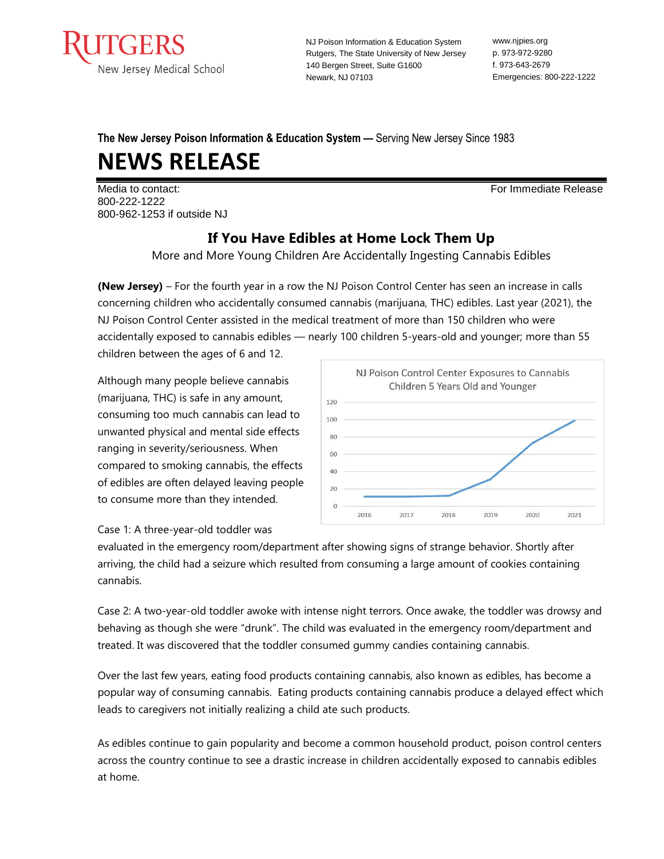

NJ Poison Information & Education System Rutgers, The State University of New Jersey 140 Bergen Street, Suite G1600 Newark, NJ 07103

www.njpies.org p. 973-972-9280 f. 973-643-2679 Emergencies: 800-222-1222

# **The New Jersey Poison Information & Education System —** Serving New Jersey Since 1983

# **NEWS RELEASE**

Media to contact: For Immediate Release 800-222-1222 800-962-1253 if outside NJ

# **If You Have Edibles at Home Lock Them Up**

More and More Young Children Are Accidentally Ingesting Cannabis Edibles

**(New Jersey)** – For the fourth year in a row the NJ Poison Control Center has seen an increase in calls concerning children who accidentally consumed cannabis (marijuana, THC) edibles. Last year (2021), the NJ Poison Control Center assisted in the medical treatment of more than 150 children who were accidentally exposed to cannabis edibles — nearly 100 children 5-years-old and younger; more than 55 children between the ages of 6 and 12.

Although many people believe cannabis (marijuana, THC) is safe in any amount, consuming too much cannabis can lead to unwanted physical and mental side effects ranging in severity/seriousness. When compared to smoking cannabis, the effects of edibles are often delayed leaving people to consume more than they intended.



Case 1: A three-year-old toddler was

evaluated in the emergency room/department after showing signs of strange behavior. Shortly after arriving, the child had a seizure which resulted from consuming a large amount of cookies containing cannabis.

Case 2: A two-year-old toddler awoke with intense night terrors. Once awake, the toddler was drowsy and behaving as though she were "drunk". The child was evaluated in the emergency room/department and treated. It was discovered that the toddler consumed gummy candies containing cannabis.

Over the last few years, eating food products containing cannabis, also known as edibles, has become a popular way of consuming cannabis. Eating products containing cannabis produce a delayed effect which leads to caregivers not initially realizing a child ate such products.

As edibles continue to gain popularity and become a common household product, poison control centers across the country continue to see a drastic increase in children accidentally exposed to cannabis edibles at home.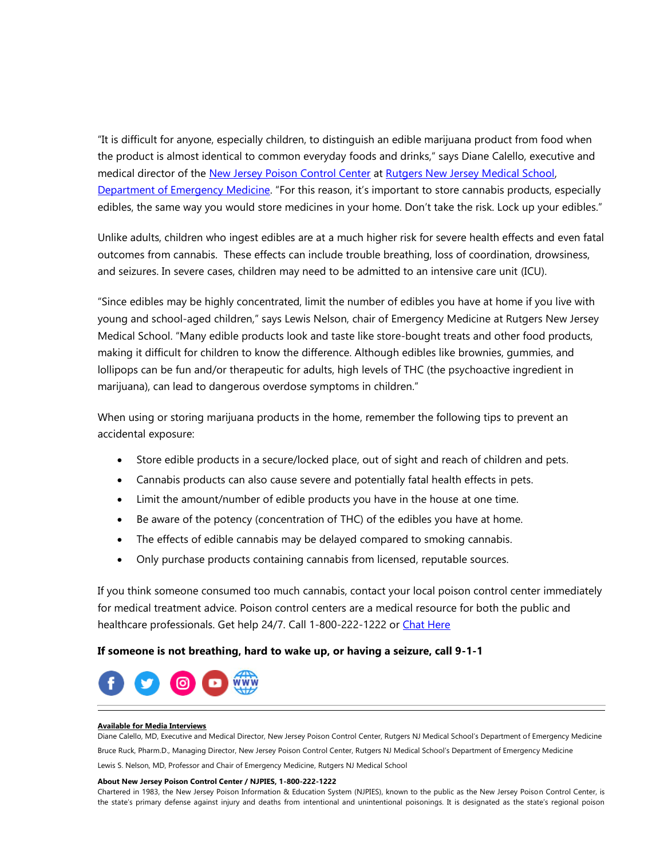"It is difficult for anyone, especially children, to distinguish an edible marijuana product from food when the product is almost identical to common everyday foods and drinks," says Diane Calello, executive and medical director of the [New Jersey Poison Control Center](https://nam02.safelinks.protection.outlook.com/?url=https%3A%2F%2Fwww.njpies.org%2F&data=02%7C01%7Cgambinaa%40njms.rutgers.edu%7Cf83c46eacb624ec15a7408d706ff3c10%7Cb92d2b234d35447093ff69aca6632ffe%7C1%7C0%7C636985565598044762&sdata=uf0FozMkUU20usQ28P%2FZRVYjEXWUbix2gYyf7NMdhBo%3D&reserved=0) at Rutgers New Jersey Medical School, [Department of Emergency Medicine](http://njms.rutgers.edu/departments/emergency_medicine/). "For this reason, it's important to store cannabis products, especially edibles, the same way you would store medicines in your home. Don't take the risk. Lock up your edibles."

Unlike adults, children who ingest edibles are at a much higher risk for severe health effects and even fatal outcomes from cannabis. These effects can include trouble breathing, loss of coordination, drowsiness, and seizures. In severe cases, children may need to be admitted to an intensive care unit (ICU).

"Since edibles may be highly concentrated, limit the number of edibles you have at home if you live with young and school-aged children," says Lewis Nelson, chair of Emergency Medicine at Rutgers New Jersey Medical School. "Many edible products look and taste like store-bought treats and other food products, making it difficult for children to know the difference. Although edibles like brownies, gummies, and lollipops can be fun and/or therapeutic for adults, high levels of THC (the psychoactive ingredient in marijuana), can lead to dangerous overdose symptoms in children."

When using or storing marijuana products in the home, remember the following tips to prevent an accidental exposure:

- Store edible products in a secure/locked place, out of sight and reach of children and pets.
- Cannabis products can also cause severe and potentially fatal health effects in pets.
- Limit the amount/number of edible products you have in the house at one time.
- Be aware of the potency (concentration of THC) of the edibles you have at home.
- The effects of edible cannabis may be delayed compared to smoking cannabis.
- Only purchase products containing cannabis from licensed, reputable sources.

If you think someone consumed too much cannabis, contact your local poison control center immediately for medical treatment advice. Poison control centers are a medical resource for both the public and healthcare professionals. Get help 24/7. Call 1-800-222-1222 or [Chat Here](http://www.njpies.org/)

## **If someone is not breathing, hard to wake up, or having a seizure, call 9-1-1**



#### **Available for Media Interviews**

Diane Calello, MD, Executive and Medical Director, New Jersey Poison Control Center, Rutgers NJ Medical School's Department of Emergency Medicine

Bruce Ruck, Pharm.D., Managing Director, New Jersey Poison Control Center, Rutgers NJ Medical School's Department of Emergency Medicine

Lewis S. Nelson, MD, Professor and Chair of Emergency Medicine, Rutgers NJ Medical School

### **About New Jersey Poison Control Center / NJPIES, 1-800-222-1222**

Chartered in 1983, the New Jersey Poison Information & Education System (NJPIES), known to the public as the New Jersey Poison Control Center, is the state's primary defense against injury and deaths from intentional and unintentional poisonings. It is designated as the state's regional poison